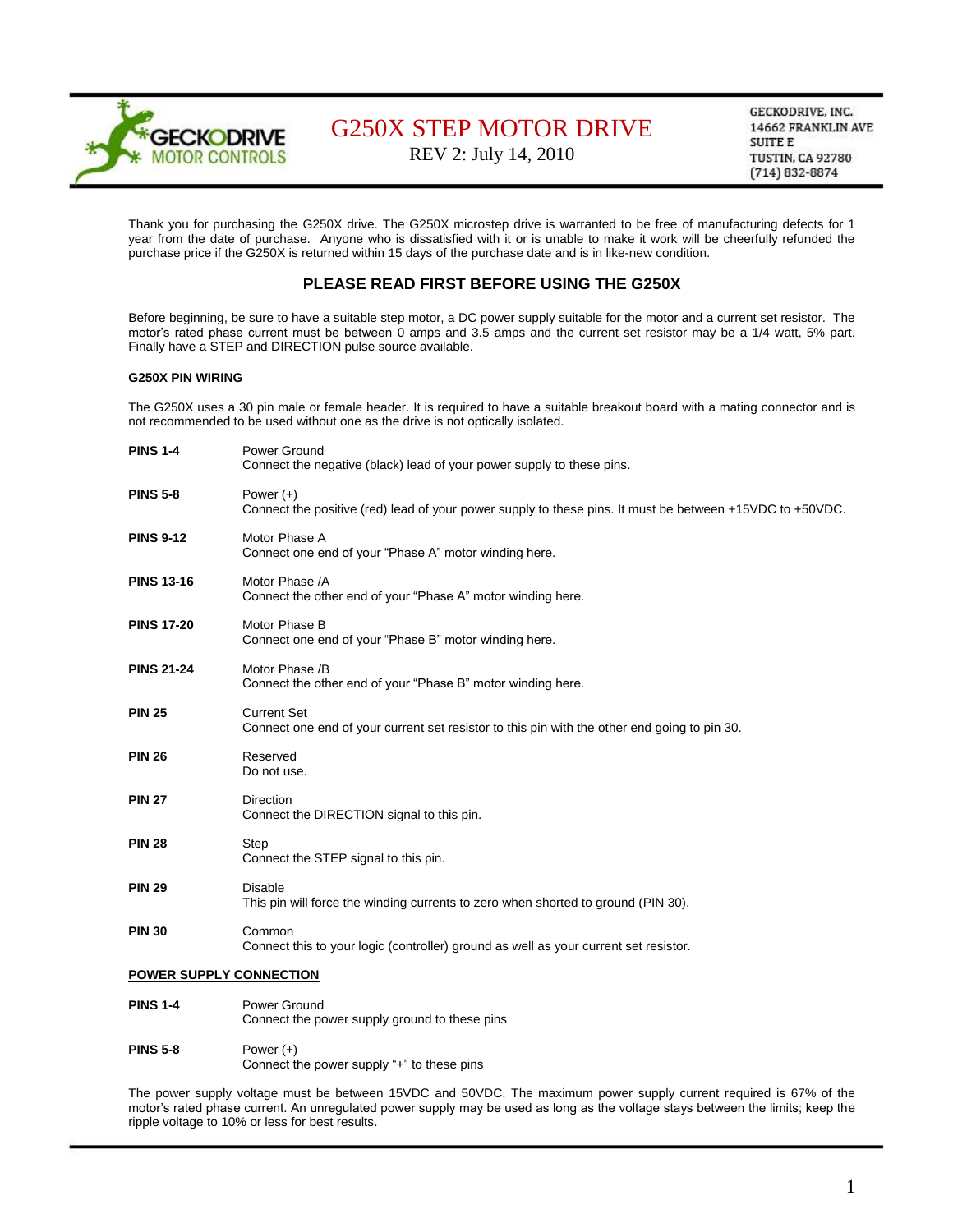

REV 2: July 14, 2010

GECKODRIVE, INC. 14662 FRANKLIN AVE **SUITE E TUSTIN, CA 92780**  $(714) 832 - 8874$ 

Thank you for purchasing the G250X drive. The G250X microstep drive is warranted to be free of manufacturing defects for 1 year from the date of purchase. Anyone who is dissatisfied with it or is unable to make it work will be cheerfully refunded the purchase price if the G250X is returned within 15 days of the purchase date and is in like-new condition.

## **PLEASE READ FIRST BEFORE USING THE G250X**

Before beginning, be sure to have a suitable step motor, a DC power supply suitable for the motor and a current set resistor. The motor's rated phase current must be between 0 amps and 3.5 amps and the current set resistor may be a 1/4 watt, 5% part. Finally have a STEP and DIRECTION pulse source available.

#### **G250X PIN WIRING**

The G250X uses a 30 pin male or female header. It is required to have a suitable breakout board with a mating connector and is not recommended to be used without one as the drive is not optically isolated.

| <b>PINS 1-4</b>         | Power Ground<br>Connect the negative (black) lead of your power supply to these pins.                                   |
|-------------------------|-------------------------------------------------------------------------------------------------------------------------|
| <b>PINS 5-8</b>         | Power $(+)$<br>Connect the positive (red) lead of your power supply to these pins. It must be between +15VDC to +50VDC. |
| <b>PINS 9-12</b>        | Motor Phase A<br>Connect one end of your "Phase A" motor winding here.                                                  |
| <b>PINS 13-16</b>       | Motor Phase /A<br>Connect the other end of your "Phase A" motor winding here.                                           |
| <b>PINS 17-20</b>       | Motor Phase B<br>Connect one end of your "Phase B" motor winding here.                                                  |
| <b>PINS 21-24</b>       | Motor Phase /B<br>Connect the other end of your "Phase B" motor winding here.                                           |
| <b>PIN 25</b>           | <b>Current Set</b><br>Connect one end of your current set resistor to this pin with the other end going to pin 30.      |
| <b>PIN 26</b>           | Reserved<br>Do not use.                                                                                                 |
| <b>PIN 27</b>           | <b>Direction</b><br>Connect the DIRECTION signal to this pin.                                                           |
| <b>PIN 28</b>           | Step<br>Connect the STEP signal to this pin.                                                                            |
| <b>PIN 29</b>           | <b>Disable</b><br>This pin will force the winding currents to zero when shorted to ground (PIN 30).                     |
| <b>PIN 30</b>           | Common<br>Connect this to your logic (controller) ground as well as your current set resistor.                          |
| POWER SUPPLY CONNECTION |                                                                                                                         |
| <b>PINS 1-4</b>         | Power Ground                                                                                                            |

Connect the power supply ground to these pins **PINS 5-8** Power (+)

Connect the power supply "+" to these pins

The power supply voltage must be between 15VDC and 50VDC. The maximum power supply current required is 67% of the motor's rated phase current. An unregulated power supply may be used as long as the voltage stays between the limits; keep the ripple voltage to 10% or less for best results.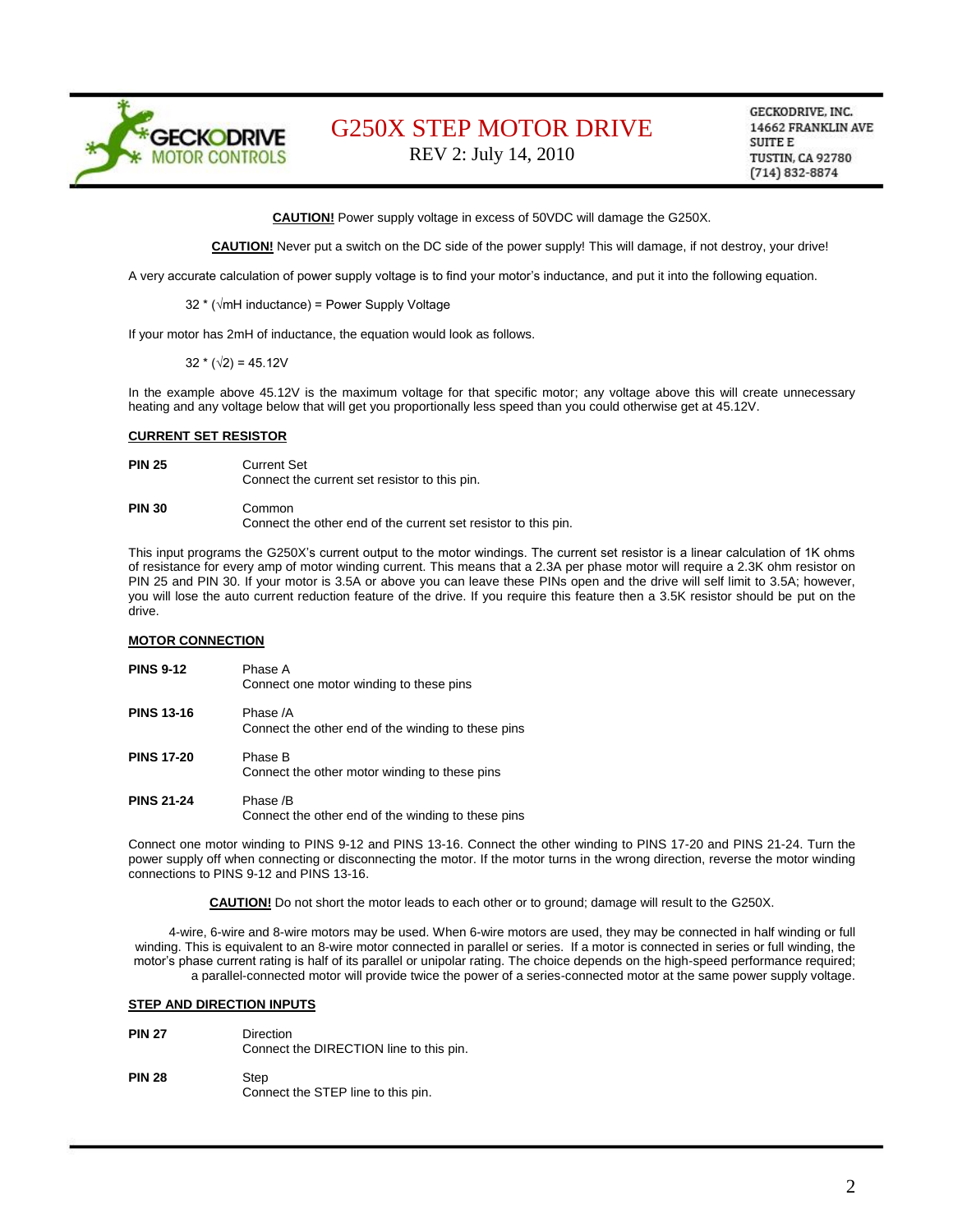

REV 2: July 14, 2010

GECKODRIVE, INC. 14662 FRANKLIN AVE SUITE E **TUSTIN, CA 92780**  $(714) 832 - 8874$ 

**CAUTION!** Power supply voltage in excess of 50VDC will damage the G250X.

**CAUTION!** Never put a switch on the DC side of the power supply! This will damage, if not destroy, your drive!

A very accurate calculation of power supply voltage is to find your motor's inductance, and put it into the following equation.

32 \* (√mH inductance) = Power Supply Voltage

If your motor has 2mH of inductance, the equation would look as follows.

 $32 * (\sqrt{2}) = 45.12V$ 

In the example above 45.12V is the maximum voltage for that specific motor; any voltage above this will create unnecessary heating and any voltage below that will get you proportionally less speed than you could otherwise get at 45.12V.

#### **CURRENT SET RESISTOR**

**PIN 25** Current Set

Connect the current set resistor to this pin.

### **PIN 30** Common Connect the other end of the current set resistor to this pin.

This input programs the G250X's current output to the motor windings. The current set resistor is a linear calculation of 1K ohms of resistance for every amp of motor winding current. This means that a 2.3A per phase motor will require a 2.3K ohm resistor on PIN 25 and PIN 30. If your motor is 3.5A or above you can leave these PINs open and the drive will self limit to 3.5A; however, you will lose the auto current reduction feature of the drive. If you require this feature then a 3.5K resistor should be put on the drive.

#### **MOTOR CONNECTION**

| <b>PINS 9-12</b>  | Phase A<br>Connect one motor winding to these pins             |
|-------------------|----------------------------------------------------------------|
| <b>PINS 13-16</b> | Phase /A<br>Connect the other end of the winding to these pins |
| <b>PINS 17-20</b> | Phase B<br>Connect the other motor winding to these pins       |
| <b>PINS 21-24</b> | Phase /B<br>Connect the other end of the winding to these pins |

Connect one motor winding to PINS 9-12 and PINS 13-16. Connect the other winding to PINS 17-20 and PINS 21-24. Turn the power supply off when connecting or disconnecting the motor. If the motor turns in the wrong direction, reverse the motor winding connections to PINS 9-12 and PINS 13-16.

**CAUTION!** Do not short the motor leads to each other or to ground; damage will result to the G250X.

4-wire, 6-wire and 8-wire motors may be used. When 6-wire motors are used, they may be connected in half winding or full winding. This is equivalent to an 8-wire motor connected in parallel or series. If a motor is connected in series or full winding, the motor's phase current rating is half of its parallel or unipolar rating. The choice depends on the high-speed performance required; a parallel-connected motor will provide twice the power of a series-connected motor at the same power supply voltage.

#### **STEP AND DIRECTION INPUTS**

- **PIN 27** Direction Connect the DIRECTION line to this pin.
- **PIN 28** Step Connect the STEP line to this pin.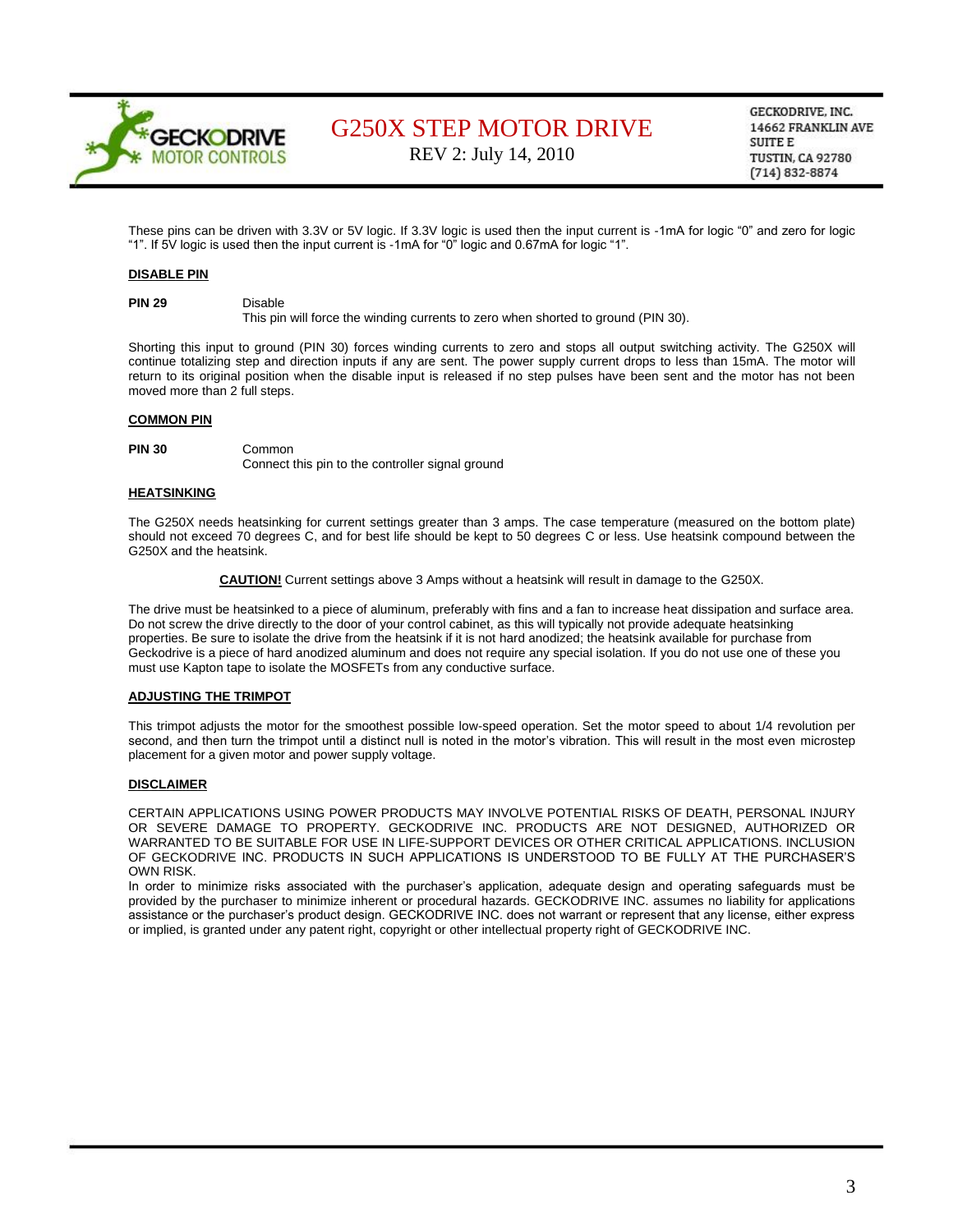

REV 2: July 14, 2010

GECKODRIVE, INC. 14662 FRANKLIN AVE SUITE E **TUSTIN, CA 92780**  $(714) 832 - 8874$ 

These pins can be driven with 3.3V or 5V logic. If 3.3V logic is used then the input current is -1mA for logic "0" and zero for logic "1". If 5V logic is used then the input current is -1mA for "0" logic and 0.67mA for logic "1".

#### **DISABLE PIN**

**PIN 29** Disable

This pin will force the winding currents to zero when shorted to ground (PIN 30).

Shorting this input to ground (PIN 30) forces winding currents to zero and stops all output switching activity. The G250X will continue totalizing step and direction inputs if any are sent. The power supply current drops to less than 15mA. The motor will return to its original position when the disable input is released if no step pulses have been sent and the motor has not been moved more than 2 full steps.

### **COMMON PIN**

**PIN 30** Common

Connect this pin to the controller signal ground

#### **HEATSINKING**

The G250X needs heatsinking for current settings greater than 3 amps. The case temperature (measured on the bottom plate) should not exceed 70 degrees C, and for best life should be kept to 50 degrees C or less. Use heatsink compound between the G250X and the heatsink.

**CAUTION!** Current settings above 3 Amps without a heatsink will result in damage to the G250X.

The drive must be heatsinked to a piece of aluminum, preferably with fins and a fan to increase heat dissipation and surface area. Do not screw the drive directly to the door of your control cabinet, as this will typically not provide adequate heatsinking properties. Be sure to isolate the drive from the heatsink if it is not hard anodized; the heatsink available for purchase from Geckodrive is a piece of hard anodized aluminum and does not require any special isolation. If you do not use one of these you must use Kapton tape to isolate the MOSFETs from any conductive surface.

#### **ADJUSTING THE TRIMPOT**

This trimpot adjusts the motor for the smoothest possible low-speed operation. Set the motor speed to about 1/4 revolution per second, and then turn the trimpot until a distinct null is noted in the motor's vibration. This will result in the most even microstep placement for a given motor and power supply voltage.

#### **DISCLAIMER**

CERTAIN APPLICATIONS USING POWER PRODUCTS MAY INVOLVE POTENTIAL RISKS OF DEATH, PERSONAL INJURY OR SEVERE DAMAGE TO PROPERTY. GECKODRIVE INC. PRODUCTS ARE NOT DESIGNED, AUTHORIZED OR WARRANTED TO BE SUITABLE FOR USE IN LIFE-SUPPORT DEVICES OR OTHER CRITICAL APPLICATIONS. INCLUSION OF GECKODRIVE INC. PRODUCTS IN SUCH APPLICATIONS IS UNDERSTOOD TO BE FULLY AT THE PURCHASER'S OWN RISK.

In order to minimize risks associated with the purchaser's application, adequate design and operating safeguards must be provided by the purchaser to minimize inherent or procedural hazards. GECKODRIVE INC. assumes no liability for applications assistance or the purchaser's product design. GECKODRIVE INC. does not warrant or represent that any license, either express or implied, is granted under any patent right, copyright or other intellectual property right of GECKODRIVE INC.